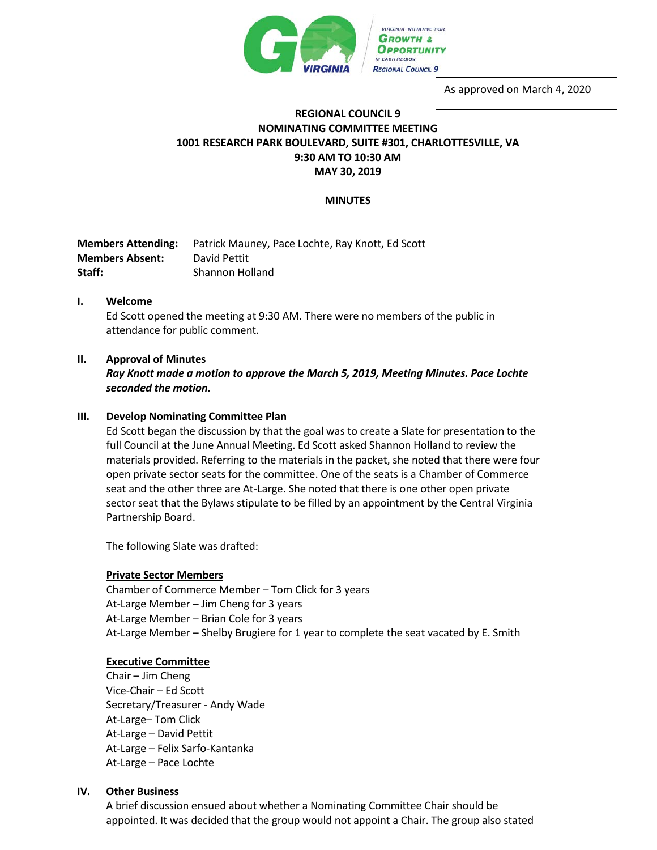

As approved on March 4, 2020

# **REGIONAL COUNCIL 9 NOMINATING COMMITTEE MEETING 1001 RESEARCH PARK BOULEVARD, SUITE #301, CHARLOTTESVILLE, VA 9:30 AM TO 10:30 AM MAY 30, 2019**

# **MINUTES**

| <b>Members Attending:</b> | Patrick Mauney, Pace Lochte, Ray Knott, Ed Scott |
|---------------------------|--------------------------------------------------|
| <b>Members Absent:</b>    | David Pettit                                     |
| Staff:                    | Shannon Holland                                  |

## **I. Welcome**

Ed Scott opened the meeting at 9:30 AM. There were no members of the public in attendance for public comment.

## **II. Approval of Minutes**

*Ray Knott made a motion to approve the March 5, 2019, Meeting Minutes. Pace Lochte seconded the motion.* 

## **III. Develop Nominating Committee Plan**

Ed Scott began the discussion by that the goal was to create a Slate for presentation to the full Council at the June Annual Meeting. Ed Scott asked Shannon Holland to review the materials provided. Referring to the materials in the packet, she noted that there were four open private sector seats for the committee. One of the seats is a Chamber of Commerce seat and the other three are At-Large. She noted that there is one other open private sector seat that the Bylaws stipulate to be filled by an appointment by the Central Virginia Partnership Board.

The following Slate was drafted:

#### **Private Sector Members**

Chamber of Commerce Member – Tom Click for 3 years At-Large Member – Jim Cheng for 3 years At-Large Member – Brian Cole for 3 years At-Large Member – Shelby Brugiere for 1 year to complete the seat vacated by E. Smith

#### **Executive Committee**

Chair – Jim Cheng Vice-Chair – Ed Scott Secretary/Treasurer - Andy Wade At-Large– Tom Click At-Large – David Pettit At-Large – Felix Sarfo-Kantanka At-Large – Pace Lochte

#### **IV. Other Business**

A brief discussion ensued about whether a Nominating Committee Chair should be appointed. It was decided that the group would not appoint a Chair. The group also stated